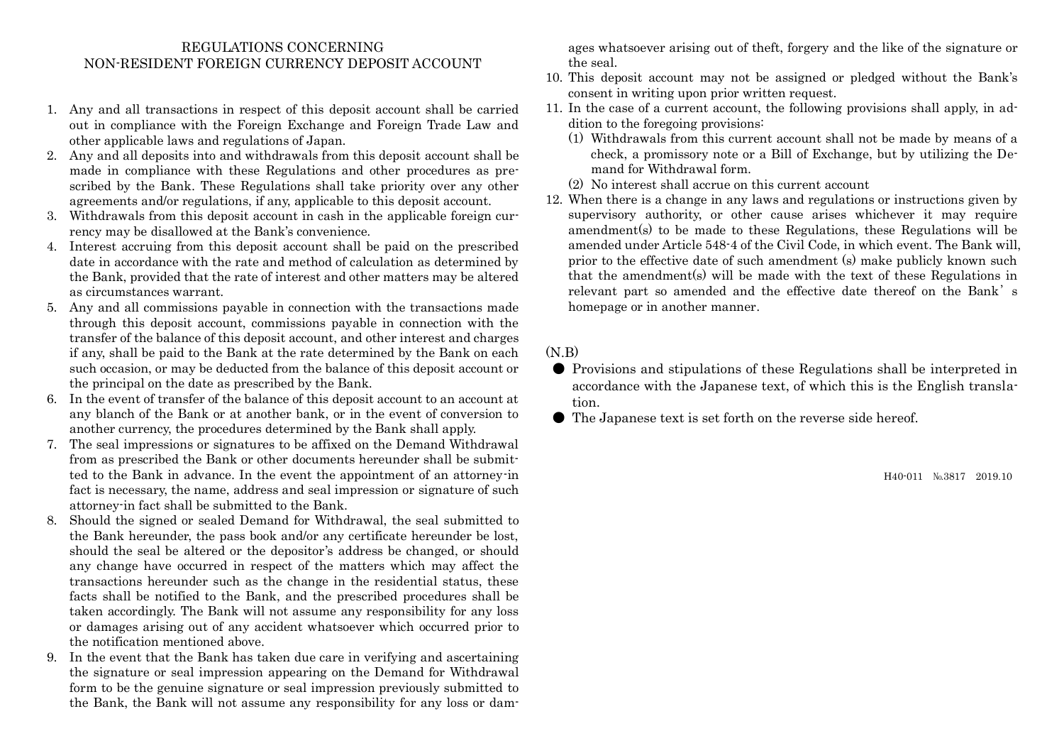## REGULATIONS CONCERNING NON-RESIDENT FOREIGN CURRENCY DEPOSIT ACCOUNT

- 1. Any and all transactions in respect of this deposit account shall be carried out in compliance with the Foreign Exchange and Foreign Trade Law and other applicable laws and regulations of Japan.
- 2. Any and all deposits into and withdrawals from this deposit account shall be made in compliance with these Regulations and other procedures as prescribed by the Bank. These Regulations shall take priority over any other agreements and/or regulations, if any, applicable to this deposit account.
- 3. Withdrawals from this deposit account in cash in the applicable foreign currency may be disallowed at the Bank's convenience.
- 4. Interest accruing from this deposit account shall be paid on the prescribed date in accordance with the rate and method of calculation as determined by the Bank, provided that the rate of interest and other matters may be altered as circumstances warrant.
- 5. Any and all commissions payable in connection with the transactions made through this deposit account, commissions payable in connection with the transfer of the balance of this deposit account, and other interest and charges if any, shall be paid to the Bank at the rate determined by the Bank on each such occasion, or may be deducted from the balance of this deposit account or the principal on the date as prescribed by the Bank.
- 6. In the event of transfer of the balance of this deposit account to an account at any blanch of the Bank or at another bank, or in the event of conversion to another currency, the procedures determined by the Bank shall apply.
- 7. The seal impressions or signatures to be affixed on the Demand Withdrawal from as prescribed the Bank or other documents hereunder shall be submitted to the Bank in advance. In the event the appointment of an attorney-in fact is necessary, the name, address and seal impression or signature of such attorney-in fact shall be submitted to the Bank.
- 8. Should the signed or sealed Demand for Withdrawal, the seal submitted to the Bank hereunder, the pass book and/or any certificate hereunder be lost, should the seal be altered or the depositor's address be changed, or should any change have occurred in respect of the matters which may affect the transactions hereunder such as the change in the residential status, these facts shall be notified to the Bank, and the prescribed procedures shall be taken accordingly. The Bank will not assume any responsibility for any loss or damages arising out of any accident whatsoever which occurred prior to the notification mentioned above.
- 9. In the event that the Bank has taken due care in verifying and ascertaining the signature or seal impression appearing on the Demand for Withdrawal form to be the genuine signature or seal impression previously submitted to the Bank, the Bank will not assume any responsibility for any loss or dam-

ages whatsoever arising out of theft, forgery and the like of the signature or the seal.

- 10. This deposit account may not be assigned or pledged without the Bank's consent in writing upon prior written request.
- 11. In the case of a current account, the following provisions shall apply, in addition to the foregoing provisions:
	- (1) Withdrawals from this current account shall not be made by means of a check, a promissory note or a Bill of Exchange, but by utilizing the Demand for Withdrawal form.
	- (2) No interest shall accrue on this current account
- 12. When there is a change in any laws and regulations or instructions given by supervisory authority, or other cause arises whichever it may require amendment(s) to be made to these Regulations, these Regulations will be amended under Article 548-4 of the Civil Code, in which event. The Bank will, prior to the effective date of such amendment (s) make publicly known such that the amendment(s) will be made with the text of these Regulations in relevant part so amended and the effective date thereof on the Bank's homepage or in another manner.

## (N.B)

- Provisions and stipulations of these Regulations shall be interpreted in accordance with the Japanese text, of which this is the English translation.
- The Japanese text is set forth on the reverse side hereof.

H40-011 №3817 2019.10